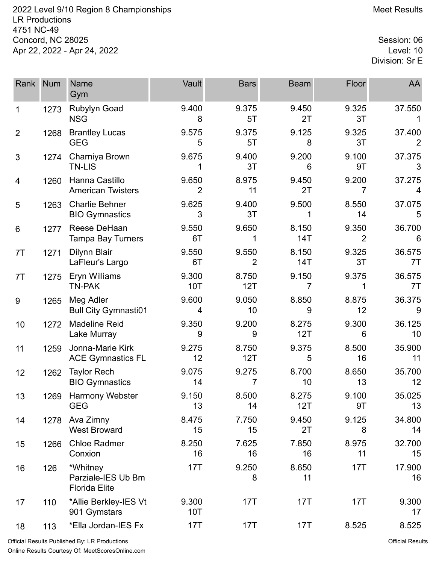2022 Level 9/10 Region 8 Championships **Meet Results** Meet Results LR Productions 4751 NC-49 Concord, NC 28025 Session: 06<br>Apr 22, 2022 - Apr 24, 2022 Apr 22, 2022 - Apr 24, 2022

Division: Sr E

| Rank           | <b>Num</b> | <b>Name</b><br>Gym                                     | Vault                   | <b>Bars</b>  | <b>Beam</b>  | Floor       | AA           |
|----------------|------------|--------------------------------------------------------|-------------------------|--------------|--------------|-------------|--------------|
| 1              | 1273       | <b>Rubylyn Goad</b><br><b>NSG</b>                      | 9.400<br>8              | 9.375<br>5T  | 9.450<br>2T  | 9.325<br>3T | 37.550       |
| $\overline{2}$ | 1268       | <b>Brantley Lucas</b><br><b>GEG</b>                    | 9.575<br>5              | 9.375<br>5T  | 9.125<br>8   | 9.325<br>3T | 37.400       |
| 3              | 1274       | Charniya Brown<br><b>TN-LIS</b>                        | 9.675                   | 9.400<br>3T  | 9.200<br>6   | 9.100<br>9T | 37.375<br>3  |
| 4              | 1260       | Hanna Castillo<br><b>American Twisters</b>             | 9.650<br>$\overline{2}$ | 8.975<br>11  | 9.450<br>2T  | 9.200<br>7  | 37.275<br>4  |
| 5              | 1263       | <b>Charlie Behner</b><br><b>BIO Gymnastics</b>         | 9.625<br>3              | 9.400<br>3T  | 9.500<br>1   | 8.550<br>14 | 37.075<br>5  |
| 6              | 1277       | Reese DeHaan<br><b>Tampa Bay Turners</b>               | 9.550<br>6T             | 9.650        | 8.150<br>14T | 9.350<br>2  | 36.700<br>6  |
| 7T             | 1271       | Dilynn Blair<br>LaFleur's Largo                        | 9.550<br>6T             | 9.550<br>2   | 8.150<br>14T | 9.325<br>3T | 36.575<br>7T |
| 7T             | 1275       | Eryn Williams<br><b>TN-PAK</b>                         | 9.300<br>10T            | 8.750<br>12T | 9.150<br>7   | 9.375<br>1  | 36.575<br>7T |
| 9              | 1265       | Meg Adler<br><b>Bull City Gymnasti01</b>               | 9.600<br>4              | 9.050<br>10  | 8.850<br>9   | 8.875<br>12 | 36.375<br>9  |
| 10             | 1272       | <b>Madeline Reid</b><br>Lake Murray                    | 9.350<br>9              | 9.200<br>9   | 8.275<br>12T | 9.300<br>6  | 36.125<br>10 |
| 11             | 1259       | Jonna-Marie Kirk<br><b>ACE Gymnastics FL</b>           | 9.275<br>12             | 8.750<br>12T | 9.375<br>5   | 8.500<br>16 | 35.900<br>11 |
| 12             | 1262       | <b>Taylor Rech</b><br><b>BIO Gymnastics</b>            | 9.075<br>14             | 9.275<br>7   | 8.700<br>10  | 8.650<br>13 | 35.700<br>12 |
| 13             | 1269       | Harmony Webster<br><b>GEG</b>                          | 9.150<br>13             | 8.500<br>14  | 8.275<br>12T | 9.100<br>9T | 35.025<br>13 |
| 14             | 1278       | Ava Zimny<br><b>West Broward</b>                       | 8.475<br>15             | 7.750<br>15  | 9.450<br>2T  | 9.125<br>8  | 34.800<br>14 |
| 15             | 1266       | <b>Chloe Radmer</b><br>Conxion                         | 8.250<br>16             | 7.625<br>16  | 7.850<br>16  | 8.975<br>11 | 32.700<br>15 |
| 16             | 126        | *Whitney<br>Parziale-IES Ub Bm<br><b>Florida Elite</b> | 17T                     | 9.250<br>8   | 8.650<br>11  | 17T         | 17.900<br>16 |
| 17             | 110        | *Allie Berkley-IES Vt<br>901 Gymstars                  | 9.300<br>10T            | 17T          | 17T          | 17T         | 9.300<br>17  |
| 18             | 113        | *Ella Jordan-IES Fx                                    | 17T                     | 17T          | 17T          | 8.525       | 8.525        |

Official Results Published By: LR Productions Online Results Courtesy Of: [MeetScoresOnline.com](http://www.meetscoresonline.com)